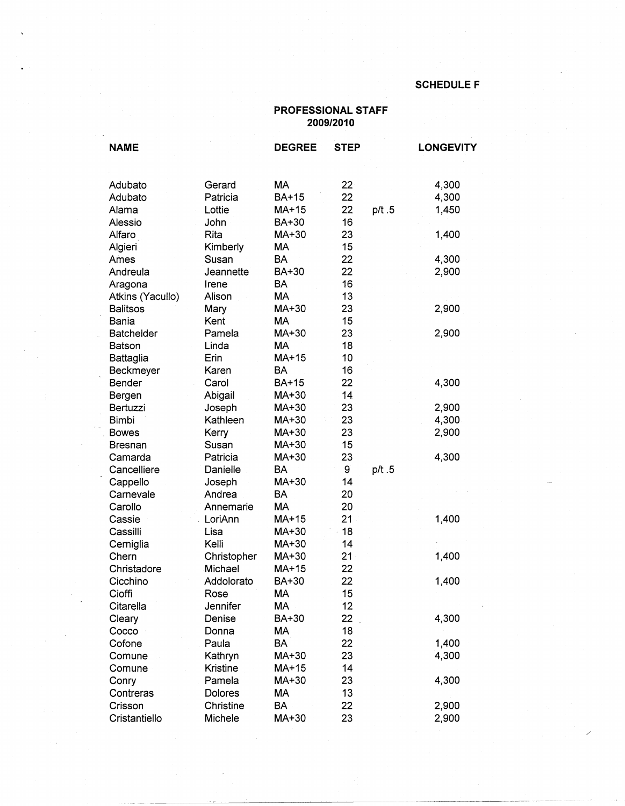/

## **PROFESSIONAL STAFF 2009/2010**

| <b>NAME</b>       |             | <b>DEGREE</b> | <b>STEP</b> |       | <b>LONGEVITY</b> |
|-------------------|-------------|---------------|-------------|-------|------------------|
| Adubato           | Gerard      | МA            | 22          |       | 4,300            |
| Adubato           | Patricia    | BA+15         | 22          |       | 4,300            |
| Alama             | Lottie      | MA+15         | 22          | p/t.5 | 1,450            |
| Alessio           | John        | BA+30         | 16          |       |                  |
| Alfaro            | Rita        | MA+30         | 23          |       | 1,400            |
| Algieri           | Kimberly    | <b>MA</b>     | 15          |       |                  |
| Ames              | Susan       | <b>BA</b>     | 22          |       | 4,300            |
| Andreula          | Jeannette   | BA+30         | 22          |       | 2,900            |
| Aragona           | Irene       | BA            | 16          |       |                  |
| Atkins (Yacullo)  | Alison      | MA            | 13          |       |                  |
| <b>Balitsos</b>   | Mary        | MA+30         | 23          |       | 2,900            |
| <b>Bania</b>      | Kent        | <b>MA</b>     | 15          |       |                  |
| <b>Batchelder</b> | Pamela      | MA+30         | 23          |       | 2,900            |
| Batson            | Linda       | MA            | 18          |       |                  |
| <b>Battaglia</b>  | Erin        | MA+15         | 10          |       |                  |
| Beckmeyer         | Karen       | <b>BA</b>     | 16          |       |                  |
| Bender            | Carol       | BA+15         | 22          |       | 4,300            |
| Bergen            | Abigail     | MA+30         | 14          |       |                  |
| Bertuzzi          | Joseph      | MA+30         | 23          |       | 2,900            |
| <b>Bimbi</b>      | Kathleen    | MA+30         | 23          |       | 4,300            |
| <b>Bowes</b>      | Kerry       | MA+30         | 23          |       | 2,900            |
| <b>Bresnan</b>    | Susan       | MA+30         | 15          |       |                  |
| Camarda           | Patricia    | MA+30         | 23          |       | 4,300            |
| Cancelliere       | Danielle    | <b>BA</b>     | 9           | p/t.5 |                  |
| Cappello          | Joseph      | MA+30         | 14          |       |                  |
| Carnevale         | Andrea      | BA            | 20          |       |                  |
| Carollo           | Annemarie   | <b>MA</b>     | 20          |       |                  |
| Cassie            | LoriAnn     | MA+15         | 21          |       | 1,400            |
| Cassilli          | Lisa        | MA+30         | 18          |       |                  |
| Cerniglia         | Kelli       | MA+30         | 14          |       |                  |
| Chern             | Christopher | MA+30         | 21          |       | 1,400            |
| Christadore       | Michael     | $MA+15$       | 22          |       |                  |
| Cicchino          | Addolorato  | BA+30         | 22          |       | 1,400            |
| Cioffi            | Rose        | МA            | 15          |       |                  |
| Citarella         | Jennifer    | MA            | 12          |       |                  |
| Cleary            | Denise      | BA+30         | 22          |       | 4,300            |
| Cocco             | Donna       | МA            | 18          |       |                  |
| Cofone            | Paula       | <b>BA</b>     | 22          |       | 1,400            |
| Comune            | Kathryn     | MA+30         | 23          |       | 4,300            |
| Comune            | Kristine    | MA+15         | 14          |       |                  |
| Conry             | Pamela      | MA+30         | 23          |       | 4,300            |
| Contreras         | Dolores     | МA            | 13          |       |                  |
| Crisson           | Christine   | <b>BA</b>     | 22          |       | 2,900            |
| Cristantiello     | Michele     | MA+30         | 23          |       | 2,900            |

----~-------~------------------~-- ·-·-·· -----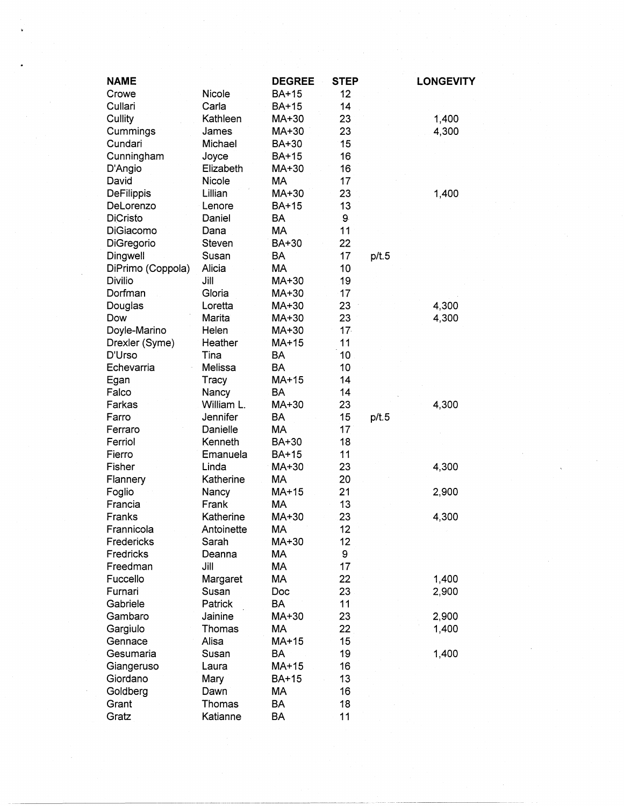| Nicole<br><b>BA+15</b><br>12<br>Crowe<br>14<br>Cullari<br>Carla<br><b>BA+15</b><br>23<br>Cullity<br>Kathleen<br>1,400<br>MA+30<br>4,300<br>Cummings<br>MA+30<br>23<br><b>James</b><br>15<br>Cundari<br>Michael<br>BA+30<br>Cunningham<br><b>BA+15</b><br>16<br>Joyce<br>Elizabeth<br>16<br>D'Angio<br>MA+30<br>17<br>David<br>Nicole<br>MA<br>DeFilippis<br>23<br>Lillian<br>MA+30<br>1,400<br>DeLorenzo<br><b>BA+15</b><br>13<br>Lenore<br><b>BA</b><br>9<br><b>DiCristo</b><br>Daniel<br>MA<br>11<br>DiGiacomo<br>Dana<br>DiGregorio<br>BA+30<br>22<br>Steven<br>17<br>Dingwell<br><b>BA</b><br>p/t.5<br>Susan<br>Alicia<br><b>MA</b><br>10<br>DiPrimo (Coppola)<br><b>Divilio</b><br>MA+30<br>19<br>Jill<br>Dorfman<br>Gloria<br>17<br>MA+30<br>23<br>Loretta<br>MA+30<br>4,300<br>Douglas<br>Marita<br>23<br>4,300<br>Dow<br>MA+30<br>17 <sub>1</sub><br>Doyle-Marino<br>Helen<br>MA+30<br>Heather<br>MA+15<br>11<br>Drexler (Syme)<br>D'Urso<br>10<br><b>BA</b><br>Tina<br><b>BA</b><br>10<br>Melissa<br>Echevarria<br>MA+15<br>14<br>Egan<br>Tracy<br>Falco<br>Nancy<br><b>BA</b><br>14<br>William L.<br>MA+30<br>23<br>4,300<br>Farkas<br>15<br>Jennifer<br><b>BA</b><br>p/t.5<br>Farro<br>МA<br>17<br>Danielle<br>Ferraro | <b>LONGEVITY</b> |
|-----------------------------------------------------------------------------------------------------------------------------------------------------------------------------------------------------------------------------------------------------------------------------------------------------------------------------------------------------------------------------------------------------------------------------------------------------------------------------------------------------------------------------------------------------------------------------------------------------------------------------------------------------------------------------------------------------------------------------------------------------------------------------------------------------------------------------------------------------------------------------------------------------------------------------------------------------------------------------------------------------------------------------------------------------------------------------------------------------------------------------------------------------------------------------------------------------------------------------------|------------------|
|                                                                                                                                                                                                                                                                                                                                                                                                                                                                                                                                                                                                                                                                                                                                                                                                                                                                                                                                                                                                                                                                                                                                                                                                                                   |                  |
|                                                                                                                                                                                                                                                                                                                                                                                                                                                                                                                                                                                                                                                                                                                                                                                                                                                                                                                                                                                                                                                                                                                                                                                                                                   |                  |
|                                                                                                                                                                                                                                                                                                                                                                                                                                                                                                                                                                                                                                                                                                                                                                                                                                                                                                                                                                                                                                                                                                                                                                                                                                   |                  |
|                                                                                                                                                                                                                                                                                                                                                                                                                                                                                                                                                                                                                                                                                                                                                                                                                                                                                                                                                                                                                                                                                                                                                                                                                                   |                  |
|                                                                                                                                                                                                                                                                                                                                                                                                                                                                                                                                                                                                                                                                                                                                                                                                                                                                                                                                                                                                                                                                                                                                                                                                                                   |                  |
|                                                                                                                                                                                                                                                                                                                                                                                                                                                                                                                                                                                                                                                                                                                                                                                                                                                                                                                                                                                                                                                                                                                                                                                                                                   |                  |
|                                                                                                                                                                                                                                                                                                                                                                                                                                                                                                                                                                                                                                                                                                                                                                                                                                                                                                                                                                                                                                                                                                                                                                                                                                   |                  |
|                                                                                                                                                                                                                                                                                                                                                                                                                                                                                                                                                                                                                                                                                                                                                                                                                                                                                                                                                                                                                                                                                                                                                                                                                                   |                  |
|                                                                                                                                                                                                                                                                                                                                                                                                                                                                                                                                                                                                                                                                                                                                                                                                                                                                                                                                                                                                                                                                                                                                                                                                                                   |                  |
|                                                                                                                                                                                                                                                                                                                                                                                                                                                                                                                                                                                                                                                                                                                                                                                                                                                                                                                                                                                                                                                                                                                                                                                                                                   |                  |
|                                                                                                                                                                                                                                                                                                                                                                                                                                                                                                                                                                                                                                                                                                                                                                                                                                                                                                                                                                                                                                                                                                                                                                                                                                   |                  |
|                                                                                                                                                                                                                                                                                                                                                                                                                                                                                                                                                                                                                                                                                                                                                                                                                                                                                                                                                                                                                                                                                                                                                                                                                                   |                  |
|                                                                                                                                                                                                                                                                                                                                                                                                                                                                                                                                                                                                                                                                                                                                                                                                                                                                                                                                                                                                                                                                                                                                                                                                                                   |                  |
|                                                                                                                                                                                                                                                                                                                                                                                                                                                                                                                                                                                                                                                                                                                                                                                                                                                                                                                                                                                                                                                                                                                                                                                                                                   |                  |
|                                                                                                                                                                                                                                                                                                                                                                                                                                                                                                                                                                                                                                                                                                                                                                                                                                                                                                                                                                                                                                                                                                                                                                                                                                   |                  |
|                                                                                                                                                                                                                                                                                                                                                                                                                                                                                                                                                                                                                                                                                                                                                                                                                                                                                                                                                                                                                                                                                                                                                                                                                                   |                  |
|                                                                                                                                                                                                                                                                                                                                                                                                                                                                                                                                                                                                                                                                                                                                                                                                                                                                                                                                                                                                                                                                                                                                                                                                                                   |                  |
|                                                                                                                                                                                                                                                                                                                                                                                                                                                                                                                                                                                                                                                                                                                                                                                                                                                                                                                                                                                                                                                                                                                                                                                                                                   |                  |
|                                                                                                                                                                                                                                                                                                                                                                                                                                                                                                                                                                                                                                                                                                                                                                                                                                                                                                                                                                                                                                                                                                                                                                                                                                   |                  |
|                                                                                                                                                                                                                                                                                                                                                                                                                                                                                                                                                                                                                                                                                                                                                                                                                                                                                                                                                                                                                                                                                                                                                                                                                                   |                  |
|                                                                                                                                                                                                                                                                                                                                                                                                                                                                                                                                                                                                                                                                                                                                                                                                                                                                                                                                                                                                                                                                                                                                                                                                                                   |                  |
|                                                                                                                                                                                                                                                                                                                                                                                                                                                                                                                                                                                                                                                                                                                                                                                                                                                                                                                                                                                                                                                                                                                                                                                                                                   |                  |
|                                                                                                                                                                                                                                                                                                                                                                                                                                                                                                                                                                                                                                                                                                                                                                                                                                                                                                                                                                                                                                                                                                                                                                                                                                   |                  |
|                                                                                                                                                                                                                                                                                                                                                                                                                                                                                                                                                                                                                                                                                                                                                                                                                                                                                                                                                                                                                                                                                                                                                                                                                                   |                  |
|                                                                                                                                                                                                                                                                                                                                                                                                                                                                                                                                                                                                                                                                                                                                                                                                                                                                                                                                                                                                                                                                                                                                                                                                                                   |                  |
|                                                                                                                                                                                                                                                                                                                                                                                                                                                                                                                                                                                                                                                                                                                                                                                                                                                                                                                                                                                                                                                                                                                                                                                                                                   |                  |
|                                                                                                                                                                                                                                                                                                                                                                                                                                                                                                                                                                                                                                                                                                                                                                                                                                                                                                                                                                                                                                                                                                                                                                                                                                   |                  |
|                                                                                                                                                                                                                                                                                                                                                                                                                                                                                                                                                                                                                                                                                                                                                                                                                                                                                                                                                                                                                                                                                                                                                                                                                                   |                  |
| Kenneth<br>BA+30<br>18<br>Ferriol                                                                                                                                                                                                                                                                                                                                                                                                                                                                                                                                                                                                                                                                                                                                                                                                                                                                                                                                                                                                                                                                                                                                                                                                 |                  |
| 11<br>Emanuela<br><b>BA+15</b><br>Fierro                                                                                                                                                                                                                                                                                                                                                                                                                                                                                                                                                                                                                                                                                                                                                                                                                                                                                                                                                                                                                                                                                                                                                                                          |                  |
| 23<br>Fisher<br>4,300<br>Linda<br>MA+30                                                                                                                                                                                                                                                                                                                                                                                                                                                                                                                                                                                                                                                                                                                                                                                                                                                                                                                                                                                                                                                                                                                                                                                           |                  |
| MA<br>20<br>Katherine<br>Flannery                                                                                                                                                                                                                                                                                                                                                                                                                                                                                                                                                                                                                                                                                                                                                                                                                                                                                                                                                                                                                                                                                                                                                                                                 |                  |
| 21<br>MA+15<br>Foglio<br>Nancy<br>2,900                                                                                                                                                                                                                                                                                                                                                                                                                                                                                                                                                                                                                                                                                                                                                                                                                                                                                                                                                                                                                                                                                                                                                                                           |                  |
| 13<br>Francia<br>Frank<br>МA                                                                                                                                                                                                                                                                                                                                                                                                                                                                                                                                                                                                                                                                                                                                                                                                                                                                                                                                                                                                                                                                                                                                                                                                      |                  |
| Katherine<br>23<br>Franks<br>MA+30<br>4,300                                                                                                                                                                                                                                                                                                                                                                                                                                                                                                                                                                                                                                                                                                                                                                                                                                                                                                                                                                                                                                                                                                                                                                                       |                  |
| 12<br>Frannicola<br>MA<br>Antoinette                                                                                                                                                                                                                                                                                                                                                                                                                                                                                                                                                                                                                                                                                                                                                                                                                                                                                                                                                                                                                                                                                                                                                                                              |                  |
| Fredericks<br>MA+30<br>12<br>Sarah                                                                                                                                                                                                                                                                                                                                                                                                                                                                                                                                                                                                                                                                                                                                                                                                                                                                                                                                                                                                                                                                                                                                                                                                |                  |
| Fredricks<br>MA<br>9<br>Deanna                                                                                                                                                                                                                                                                                                                                                                                                                                                                                                                                                                                                                                                                                                                                                                                                                                                                                                                                                                                                                                                                                                                                                                                                    |                  |
| MA<br>17<br>Freedman<br>Jill                                                                                                                                                                                                                                                                                                                                                                                                                                                                                                                                                                                                                                                                                                                                                                                                                                                                                                                                                                                                                                                                                                                                                                                                      |                  |
| MA<br>22<br>1,400<br>Fuccello<br>Margaret                                                                                                                                                                                                                                                                                                                                                                                                                                                                                                                                                                                                                                                                                                                                                                                                                                                                                                                                                                                                                                                                                                                                                                                         |                  |
| 23<br>Furnari<br>Susan<br>Doc<br>2,900                                                                                                                                                                                                                                                                                                                                                                                                                                                                                                                                                                                                                                                                                                                                                                                                                                                                                                                                                                                                                                                                                                                                                                                            |                  |
| 11<br>Gabriele<br>Patrick<br>BA                                                                                                                                                                                                                                                                                                                                                                                                                                                                                                                                                                                                                                                                                                                                                                                                                                                                                                                                                                                                                                                                                                                                                                                                   |                  |
| MA+30<br>23<br>2,900<br>Gambaro<br>Jainine                                                                                                                                                                                                                                                                                                                                                                                                                                                                                                                                                                                                                                                                                                                                                                                                                                                                                                                                                                                                                                                                                                                                                                                        |                  |
| 22<br>Gargiulo<br>МA<br>Thomas<br>1,400                                                                                                                                                                                                                                                                                                                                                                                                                                                                                                                                                                                                                                                                                                                                                                                                                                                                                                                                                                                                                                                                                                                                                                                           |                  |
| 15<br>Alisa<br>MA+15<br>Gennace                                                                                                                                                                                                                                                                                                                                                                                                                                                                                                                                                                                                                                                                                                                                                                                                                                                                                                                                                                                                                                                                                                                                                                                                   |                  |
| 19<br>1,400<br>Gesumaria<br>Susan<br>BA                                                                                                                                                                                                                                                                                                                                                                                                                                                                                                                                                                                                                                                                                                                                                                                                                                                                                                                                                                                                                                                                                                                                                                                           |                  |
| MA+15<br>16<br>Laura<br>Giangeruso                                                                                                                                                                                                                                                                                                                                                                                                                                                                                                                                                                                                                                                                                                                                                                                                                                                                                                                                                                                                                                                                                                                                                                                                |                  |
| 13<br>Giordano<br><b>BA+15</b><br>Mary                                                                                                                                                                                                                                                                                                                                                                                                                                                                                                                                                                                                                                                                                                                                                                                                                                                                                                                                                                                                                                                                                                                                                                                            |                  |
| 16<br>Goldberg<br>МA<br>Dawn                                                                                                                                                                                                                                                                                                                                                                                                                                                                                                                                                                                                                                                                                                                                                                                                                                                                                                                                                                                                                                                                                                                                                                                                      |                  |
| BA<br>18<br>Grant<br>Thomas                                                                                                                                                                                                                                                                                                                                                                                                                                                                                                                                                                                                                                                                                                                                                                                                                                                                                                                                                                                                                                                                                                                                                                                                       |                  |
| Katianne<br>BA<br>11<br>Gratz                                                                                                                                                                                                                                                                                                                                                                                                                                                                                                                                                                                                                                                                                                                                                                                                                                                                                                                                                                                                                                                                                                                                                                                                     |                  |

 $\frac{1}{\sqrt{2}}\sum_{i=1}^{n} \frac{1}{\sqrt{2}}\left(\frac{1}{\sqrt{2}}\right)^2\left(\frac{1}{\sqrt{2}}\right)^2\left(\frac{1}{\sqrt{2}}\right)^2\left(\frac{1}{\sqrt{2}}\right)^2\left(\frac{1}{\sqrt{2}}\right)^2\left(\frac{1}{\sqrt{2}}\right)^2\left(\frac{1}{\sqrt{2}}\right)^2\left(\frac{1}{\sqrt{2}}\right)^2\left(\frac{1}{\sqrt{2}}\right)^2\left(\frac{1}{\sqrt{2}}\right)^2\left(\frac{1}{\sqrt{2}}\right)^2\left(\frac{1}{\sqrt{2}}\right$ 

 $\sqrt{\frac{1}{\lambda}}$ 

 $\frac{1}{2} \left( \frac{1}{2} \right)$ 

i,

 $\frac{1}{2}$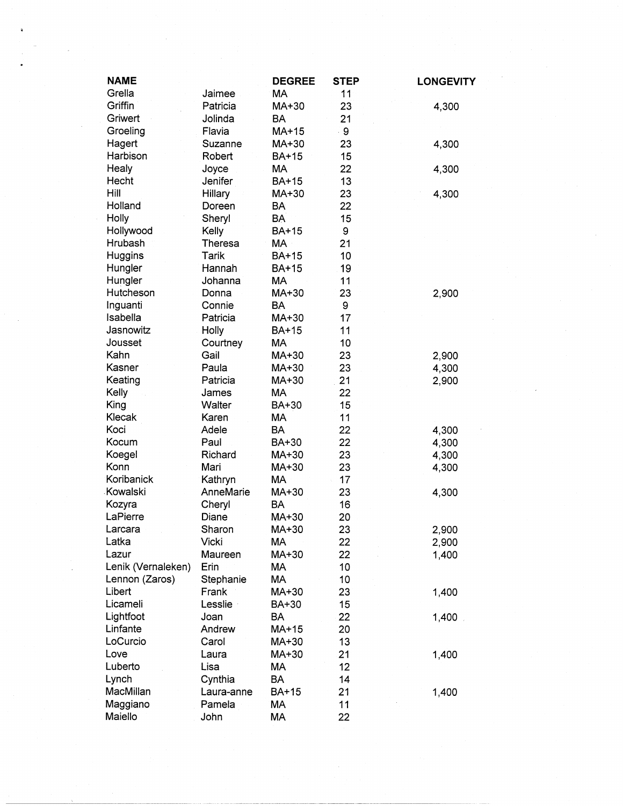| <b>NAME</b>        |            | <b>DEGREE</b> | <b>STEP</b> | <b>LONGEVITY</b> |
|--------------------|------------|---------------|-------------|------------------|
| Grella             | Jaimee     | МA            | 11          |                  |
| Griffin            | Patricia   | MA+30         | 23          | 4,300            |
| Griwert            | Jolinda    | <b>BA</b>     | 21          |                  |
| Groeling           | Flavia     | $MA+15$       | ି 9         |                  |
| Hagert             | Suzanne    | MA+30         | 23          | 4,300            |
| Harbison           | Robert     | <b>BA+15</b>  | 15          |                  |
| Healy              | Joyce      | MA            | 22          | 4,300            |
| Hecht              | Jenifer    | BA+15         | 13          |                  |
| Hill               | Hillary    | MA+30         | 23          | 4,300            |
| Holland            | Doreen     | BA            | 22          |                  |
| Holly              | Sheryl     | <b>BA</b>     | 15          |                  |
| Hollywood          | Kelly      | <b>BA+15</b>  | 9           |                  |
| Hrubash            | Theresa    | MA            | 21          |                  |
| Huggins            | Tarik      | <b>BA+15</b>  | 10          |                  |
| Hungler            | Hannah     | <b>BA+15</b>  | 19          |                  |
| Hungler            | Johanna    | <b>MA</b>     | 11          |                  |
| Hutcheson          | Donna      | MA+30         | 23          | 2,900            |
| Inguanti           | Connie     | <b>BA</b>     | 9           |                  |
| Isabella           | Patricia   | MA+30         | 17          |                  |
| Jasnowitz          | Holly      | <b>BA+15</b>  | 11          |                  |
| Jousset            | Courtney   | MA            | 10          |                  |
| Kahn               | Gail       | MA+30         | 23          | 2,900            |
| Kasner             | Paula      | MA+30         | 23          | 4,300            |
| Keating            | Patricia   | MA+30         | 21          | 2,900            |
| Kelly              | James      | <b>MA</b>     | 22          |                  |
| King               | Walter     | BA+30         | 15          |                  |
| Klecak             | Karen      | MA            | 11          |                  |
| Koci               | Adele      | <b>BA</b>     | 22          | 4,300            |
| Kocum              | Paul       | BA+30         | 22          | 4,300            |
| Koegel             | Richard    | MA+30         | 23          | 4,300            |
| Konn               | Mari       | MA+30         | 23          | 4,300            |
| Koribanick         | Kathryn    | <b>MA</b>     | 17          |                  |
| Kowalski           | AnneMarie  | MA+30         | 23          | 4,300            |
| Kozyra             | Cheryl     | <b>BA</b>     | 16          |                  |
| LaPierre           | Diane      | MA+30         | 20          |                  |
| Larcara            | Sharon     | MA+30         | 23          | 2,900            |
| Latka              | Vicki      | МA            | 22          | 2,900            |
| Lazur              | Maureen    | MA+30         | 22          | 1,400            |
| Lenik (Vernaleken) | Erin       | MA            | 10          |                  |
| Lennon (Zaros)     | Stephanie  | MA            | 10          |                  |
| Libert             | Frank      | MA+30         | 23          | 1,400            |
| Licameli           | Lesslie    | BA+30         | 15          |                  |
| Lightfoot          | Joan       | <b>BA</b>     | 22          | 1,400            |
| Linfante           | Andrew     | MA+15         | 20          |                  |
| LoCurcio           | Carol      | MA+30         | 13          |                  |
| Love               | Laura      | MA+30         | 21          | 1,400            |
| Luberto            | Lisa       | МA            | 12          |                  |
| Lynch              | Cynthia    | BA            | 14          |                  |
| MacMillan          | Laura-anne | BA+15         | 21          | 1,400            |
| Maggiano           | Pamela     | MA            | 11          |                  |
| Maiello            | John       | МA            | 22          |                  |

 $\label{eq:2} \frac{1}{\sqrt{2}}\sum_{i=1}^n\frac{1}{\sqrt{2}}\sum_{i=1}^n\frac{1}{\sqrt{2}}\sum_{i=1}^n\frac{1}{\sqrt{2}}\sum_{i=1}^n\frac{1}{\sqrt{2}}\sum_{i=1}^n\frac{1}{\sqrt{2}}\sum_{i=1}^n\frac{1}{\sqrt{2}}\sum_{i=1}^n\frac{1}{\sqrt{2}}\sum_{i=1}^n\frac{1}{\sqrt{2}}\sum_{i=1}^n\frac{1}{\sqrt{2}}\sum_{i=1}^n\frac{1}{\sqrt{2}}\sum_{i=1}^n\frac{1$ 

 $\sim 40\%$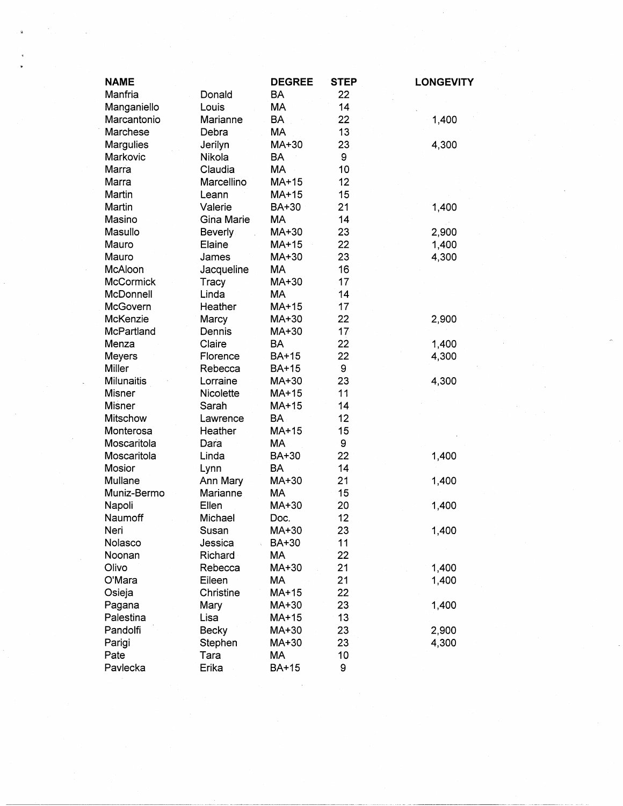| <b>NAME</b>       |                | <b>DEGREE</b> | <b>STEP</b> | <b>LONGEVITY</b> |
|-------------------|----------------|---------------|-------------|------------------|
| Manfria           | Donald         | BA            | 22          |                  |
| Manganiello       | Louis          | MA            | 14          |                  |
| Marcantonio       | Marianne       | <b>BA</b>     | 22          | 1,400            |
| Marchese          | Debra          | MA            | 13          |                  |
| Margulies         | Jerilyn        | MA+30         | 23          | 4,300            |
| Markovic          | Nikola         | <b>BA</b>     | 9           |                  |
| Marra             | Claudia        | MA            | 10          |                  |
| Marra             | Marcellino     | MA+15         | 12          |                  |
| Martin            | Leann          | MA+15         | 15          |                  |
| Martin            | Valerie        | BA+30         | 21          | 1,400            |
| Masino            | Gina Marie     | MA            | 14          |                  |
| Masullo           | <b>Beverly</b> | MA+30         | 23          | 2,900            |
| Mauro             | Elaine         | MA+15         | 22          | 1,400            |
| Mauro             | James          | MA+30         | 23          | 4,300            |
| McAloon           | Jacqueline     | MA            | 16          |                  |
| <b>McCormick</b>  | Tracy          | MA+30         | 17          |                  |
| McDonnell         | Linda          | <b>MA</b>     | 14          |                  |
| <b>McGovern</b>   | Heather        | MA+15         | 17          |                  |
| McKenzie          | Marcy          | MA+30         | 22          | 2,900            |
| McPartland        | Dennis         | MA+30         | 17          |                  |
| Menza             | Claire         | <b>BA</b>     | 22          | 1,400            |
| <b>Meyers</b>     | Florence       | <b>BA+15</b>  | 22          | 4,300            |
| Miller            | Rebecca        | <b>BA+15</b>  | 9           |                  |
| <b>Milunaitis</b> | Lorraine       | MA+30         | 23          | 4,300            |
| Misner            | Nicolette      | MA+15         | 11          |                  |
| <b>Misner</b>     | Sarah          | MA+15         | 14          |                  |
| Mitschow          | Lawrence       | <b>BA</b>     | 12          |                  |
| Monterosa         | Heather        | MA+15         | 15          |                  |
| Moscaritola       | Dara           | MA            | 9           |                  |
| Moscaritola       | Linda          | BA+30         | 22          | 1,400            |
| Mosior            | Lynn           | <b>BA</b>     | 14          |                  |
| Mullane           | Ann Mary       | MA+30         | 21          | 1,400            |
| Muniz-Bermo       | Marianne       | <b>MA</b>     | 15          |                  |
| Napoli            | Ellen          | MA+30         | 20          | 1,400            |
| Naumoff           | Michael        | Doc.          | 12          |                  |
| Neri              | Susan          | MA+30         | 23          | 1,400            |
| Nolasco           | Jessica        | <b>BA+30</b>  | 11          |                  |
| Noonan            | Richard        | MA            | 22          |                  |
| Olivo             | Rebecca        | MA+30         | 21          | 1,400            |
| O'Mara            | Eileen         | МA            | 21          | 1,400            |
| Osieja            | Christine      | MA+15         | 22          |                  |
| Pagana            | Mary           | MA+30         | 23          | 1,400            |
| Palestina         | Lisa           | MA+15         | 13          |                  |
| Pandolfi          | <b>Becky</b>   | MA+30         | 23          | 2,900            |
| Parigi            | Stephen        | MA+30         | 23          | 4,300            |
| Pate              | Tara           | МA            | 10          |                  |
| Pavlecka          | Erika          | <b>BA+15</b>  | 9           |                  |
|                   |                |               |             |                  |

 $\mathcal{I}_{\text{eff}}$ 

 $\mathcal{L}^{\text{max}}_{\text{max}}$ 

 $\sim$ 

 $\mathcal{L}_{\text{max}}$ 

 $\mathcal{A}^{\mathcal{I}}$ 

 $\sim$ 

 $\label{eq:2} \frac{1}{2} \int_{\mathbb{R}^3} \frac{1}{\sqrt{2}} \, \frac{1}{\sqrt{2}} \, \frac{1}{\sqrt{2}} \, \frac{1}{\sqrt{2}} \, \frac{1}{\sqrt{2}} \, \frac{1}{\sqrt{2}} \, \frac{1}{\sqrt{2}} \, \frac{1}{\sqrt{2}} \, \frac{1}{\sqrt{2}} \, \frac{1}{\sqrt{2}} \, \frac{1}{\sqrt{2}} \, \frac{1}{\sqrt{2}} \, \frac{1}{\sqrt{2}} \, \frac{1}{\sqrt{2}} \, \frac{1}{\sqrt{2}} \, \frac{1}{\sqrt{2}} \, \frac$ 

 $\sim$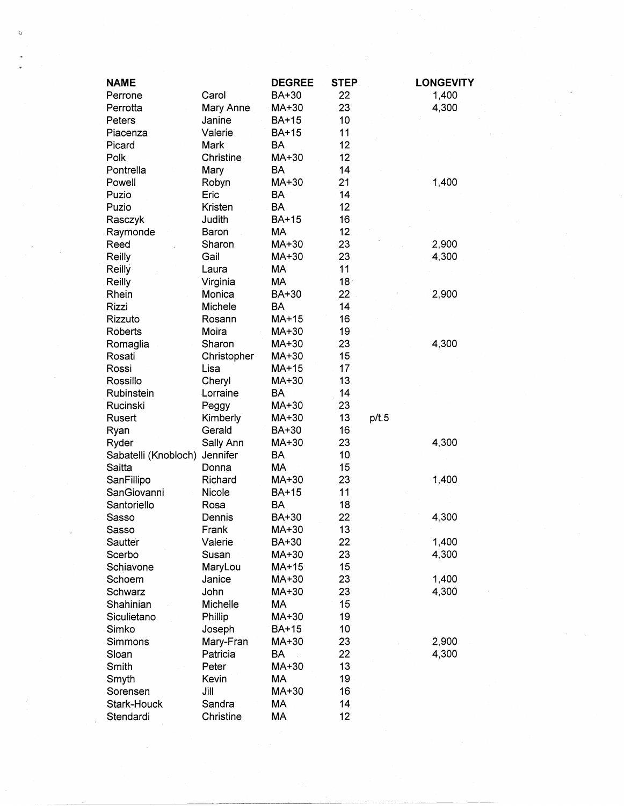| <b>NAME</b>          |             | <b>DEGREE</b> | <b>STEP</b>     |       | <b>LONGEVITY</b> |
|----------------------|-------------|---------------|-----------------|-------|------------------|
| Perrone              | Carol       | BA+30         | 22              |       | 1,400            |
| Perrotta             | Mary Anne   | MA+30         | 23              |       | 4,300            |
| Peters               | Janine      | <b>BA+15</b>  | 10              |       |                  |
| Piacenza             | Valerie     | <b>BA+15</b>  | 11              |       |                  |
| Picard               | Mark        | <b>BA</b>     | 12              |       |                  |
| Polk                 | Christine   | MA+30         | 12              |       |                  |
| Pontrella            | Mary        | BA            | 14              |       |                  |
| Powell               | Robyn       | MA+30         | 21              |       | 1,400            |
| Puzio                | Eric        | BA            | 14              |       |                  |
| Puzio                | Kristen     | <b>BA</b>     | 12              |       |                  |
| Rasczyk              | Judith      | <b>BA+15</b>  | 16              |       |                  |
| Raymonde             | Baron       | MA            | 12              |       |                  |
| Reed                 | Sharon      | MA+30         | 23              |       | 2,900            |
| Reilly               | Gail        | MA+30         | 23              |       | 4,300            |
| Reilly               | Laura       | MA            | 11              |       |                  |
| Reilly               | Virginia    | МA            | 18:             |       |                  |
| Rhein                | Monica      | BA+30         | 22              |       | 2,900            |
| Rizzi                | Michele     | <b>BA</b>     | 14              |       |                  |
| Rizzuto              | Rosann      | MA+15         | 16              |       |                  |
| <b>Roberts</b>       | Moira       | MA+30         | 19              |       |                  |
| Romaglia             | Sharon      | MA+30         | 23              |       | 4,300            |
| Rosati               | Christopher | MA+30         | 15              |       |                  |
| Rossi                | Lisa        | MA+15         | 17              |       |                  |
| Rossillo             | Cheryl      | MA+30         | 13              |       |                  |
| Rubinstein           | Lorraine    | BA            | 14              |       |                  |
| Rucinski             | Peggy       | MA+30         | 23              |       |                  |
| Rusert               | Kimberly    | MA+30         | 13              | p/t.5 |                  |
| Ryan                 | Gerald      | BA+30         | 16              |       |                  |
| Ryder                | Sally Ann   | MA+30         | 23              |       | 4,300            |
| Sabatelli (Knobloch) | Jennifer    | BA            | 10              |       |                  |
| Saitta               | Donna       | <b>MA</b>     | 15              |       |                  |
| SanFillipo           | Richard     | MA+30         | 23              |       | 1,400            |
| SanGiovanni          | Nicole      | <b>BA+15</b>  | 11              |       |                  |
| Santoriello          | Rosa        | <b>BA</b>     | 18              |       |                  |
| Sasso                | Dennis      | BA+30         | 22              |       | 4,300            |
|                      | Frank       | MA+30         | 13              |       |                  |
| Sasso                | Valerie     | BA+30         | 22              |       | 1,400            |
| Sautter<br>Scerbo    | Susan       | MA+30         | 23              |       | 4,300            |
|                      |             |               |                 |       |                  |
| Schiavone            | MaryLou     | MA+15         | 15              |       | 1,400            |
| Schoem               | Janice      | MA+30         | 23              |       |                  |
| Schwarz              | John        | MA+30         | 23              |       | 4,300            |
| Shahinian            | Michelle    | MA            | 15              |       |                  |
| Siculietano          | Phillip     | MA+30         | 19              |       |                  |
| Simko                | Joseph      | BA+15         | 10 <sub>1</sub> |       |                  |
| Simmons              | Mary-Fran   | MA+30         | 23              |       | 2,900            |
| Sloan                | Patricia    | <b>BA</b>     | 22              |       | 4,300            |
| Smith                | Peter       | MA+30         | 13              |       |                  |
| Smyth                | Kevin       | MA            | 19              |       |                  |
| Sorensen             | Jill        | MA+30         | 16              |       |                  |
| Stark-Houck          | Sandra      | MA            | 14              |       |                  |
| Stendardi            | Christine   | MA            | 12              |       |                  |

 $\mathcal{O}(\mathcal{F}^{\mathcal{G}}_{\mathcal{G}})$  ,  $\mathcal{O}(\mathcal{G})$ 

 $\frac{1}{\sqrt{2}}\int_{0}^{\sqrt{2}}\frac{1}{\sqrt{2}}\left( \frac{1}{\sqrt{2}}\right) \left( \frac{1}{2}\right) \left( \frac{1}{2}\right) \left( \frac{1}{2}\right) \left( \frac{1}{2}\right) \left( \frac{1}{2}\right) \left( \frac{1}{2}\right) \left( \frac{1}{2}\right) \left( \frac{1}{2}\right) \left( \frac{1}{2}\right) \left( \frac{1}{2}\right) \left( \frac{1}{2}\right) \left( \frac{1}{2}\right) \left( \frac{1}{2}\right) \left( \frac{1}{2}\right) \left( \frac$ 

 $\mathcal{O}(\mathcal{A})$